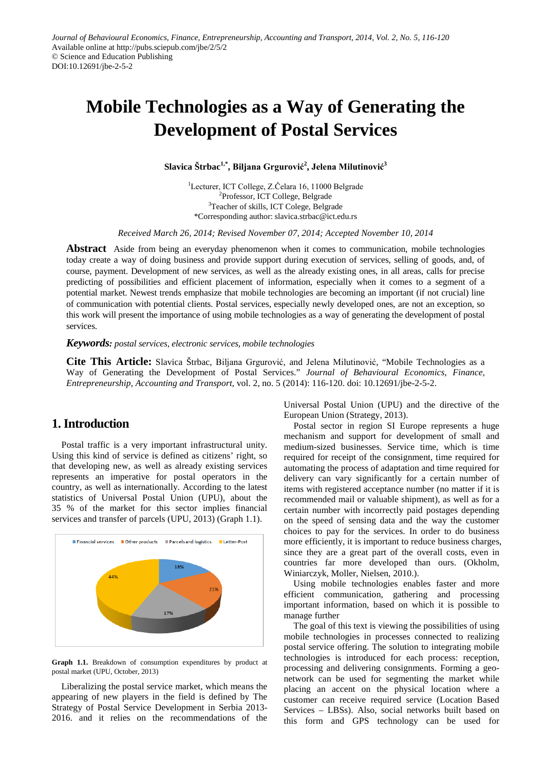# **Mobile Technologies as a Way of Generating the Development of Postal Services**

**Slavica Štrbac1,\*, Biljana Grgurović<sup>2</sup> , Jelena Milutinović<sup>3</sup>**

<sup>1</sup>Lecturer, ICT College, Z.Čelara 16, 11000 Belgrade <sup>2</sup>Professor, ICT College, Belgrade <sup>3</sup>Teacher of skills, ICT Colege, Belgrade \*Corresponding author: slavica.strbac@ict.edu.rs

*Received March 26, 2014; Revised November 07, 2014; Accepted November 10, 2014*

**Abstract** Aside from being an everyday phenomenon when it comes to communication, mobile technologies today create a way of doing business and provide support during execution of services, selling of goods, and, of course, payment. Development of new services, as well as the already existing ones, in all areas, calls for precise predicting of possibilities and efficient placement of information, especially when it comes to a segment of a potential market. Newest trends emphasize that mobile technologies are becoming an important (if not crucial) line of communication with potential clients. Postal services, especially newly developed ones, are not an exception, so this work will present the importance of using mobile technologies as a way of generating the development of postal services.

*Keywords: postal services, electronic services, mobile technologies*

**Cite This Article:** Slavica Štrbac, Biljana Grgurović, and Jelena Milutinović, "Mobile Technologies as a Way of Generating the Development of Postal Services." *Journal of Behavioural Economics, Finance, Entrepreneurship, Accounting and Transport*, vol. 2, no. 5 (2014): 116-120. doi: 10.12691/jbe-2-5-2.

## **1. Introduction**

Postal traffic is a very important infrastructural unity. Using this kind of service is defined as citizens' right, so that developing new, as well as already existing services represents an imperative for postal operators in the country, as well as internationally. According to the latest statistics of Universal Postal Union (UPU), about the 35 % of the market for this sector implies financial services and transfer of parcels (UPU, 2013) (Graph 1.1).



**Graph 1.1.** Breakdown of consumption expenditures by product at postal market (UPU, October, 2013)

Liberalizing the postal service market, which means the appearing of new players in the field is defined by The Strategy of Postal Service Development in Serbia 2013- 2016. and it relies on the recommendations of the Universal Postal Union (UPU) and the directive of the European Union (Strategy, 2013).

Postal sector in region SI Europe represents a huge mechanism and support for development of small and medium-sized businesses. Service time, which is time required for receipt of the consignment, time required for automating the process of adaptation and time required for delivery can vary significantly for a certain number of items with registered acceptance number (no matter if it is recommended mail or valuable shipment), as well as for a certain number with incorrectly paid postages depending on the speed of sensing data and the way the customer choices to pay for the services. In order to do business more efficiently, it is important to reduce business charges, since they are a great part of the overall costs, even in countries far more developed than ours. (Okholm, Winiarczyk, Moller, Nielsen, 2010.).

Using mobile technologies enables faster and more efficient communication, gathering and processing important information, based on which it is possible to manage further

The goal of this text is viewing the possibilities of using mobile technologies in processes connected to realizing postal service offering. The solution to integrating mobile technologies is introduced for each process: reception, processing and delivering consignments. Forming a geonetwork can be used for segmenting the market while placing an accent on the physical location where a customer can receive required service (Location Based Services – LBSs). Also, social networks built based on this form and GPS technology can be used for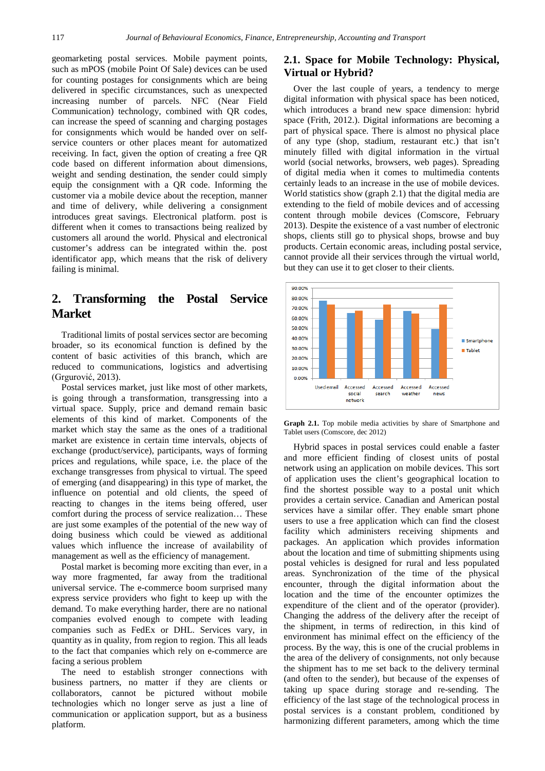geomarketing postal services. Mobile payment points, such as mPOS (mobile Point Of Sale) devices can be used for counting postages for consignments which are being delivered in specific circumstances, such as unexpected increasing number of parcels. NFC (Near Field Communication) technology, combined with QR codes, can increase the speed of scanning and charging postages for consignments which would be handed over on selfservice counters or other places meant for automatized receiving. In fact, given the option of creating a free QR code based on different information about dimensions, weight and sending destination, the sender could simply equip the consignment with a QR code. Informing the customer via a mobile device about the reception, manner and time of delivery, while delivering a consignment introduces great savings. Electronical platform. post is different when it comes to transactions being realized by customers all around the world. Physical and electronical customer's address can be integrated within the. post identificator app, which means that the risk of delivery failing is minimal.

## **2. Transforming the Postal Service Market**

Traditional limits of postal services sector are becoming broader, so its economical function is defined by the content of basic activities of this branch, which are reduced to communications, logistics and advertising (Grgurović, 2013).

Postal services market, just like most of other markets, is going through a transformation, transgressing into a virtual space. Supply, price and demand remain basic elements of this kind of market. Components of the market which stay the same as the ones of a traditional market are existence in certain time intervals, objects of exchange (product/service), participants, ways of forming prices and regulations, while space, i.e. the place of the exchange transgresses from physical to virtual. The speed of emerging (and disappearing) in this type of market, the influence on potential and old clients, the speed of reacting to changes in the items being offered, user comfort during the process of service realization… These are just some examples of the potential of the new way of doing business which could be viewed as additional values which influence the increase of availability of management as well as the efficiency of management.

Postal market is becoming more exciting than ever, in a way more fragmented, far away from the traditional universal service. The e-commerce boom surprised many express service providers who fight to keep up with the demand. To make everything harder, there are no national companies evolved enough to compete with leading companies such as FedEx or DHL. Services vary, in quantity as in quality, from region to region. This all leads to the fact that companies which rely on e-commerce are facing a serious problem

The need to establish stronger connections with business partners, no matter if they are clients or collaborators, cannot be pictured without mobile technologies which no longer serve as just a line of communication or application support, but as a business platform.

#### **2.1. Space for Mobile Technology: Physical, Virtual or Hybrid?**

Over the last couple of years, a tendency to merge digital information with physical space has been noticed, which introduces a brand new space dimension: hybrid space (Frith, 2012.). Digital informations are becoming a part of physical space. There is almost no physical place of any type (shop, stadium, restaurant etc.) that isn't minutely filled with digital information in the virtual world (social networks, browsers, web pages). Spreading of digital media when it comes to multimedia contents certainly leads to an increase in the use of mobile devices. World statistics show (graph 2.1) that the digital media are extending to the field of mobile devices and of accessing content through mobile devices (Comscore, February 2013). Despite the existence of a vast number of electronic shops, clients still go to physical shops, browse and buy products. Certain economic areas, including postal service, cannot provide all their services through the virtual world, but they can use it to get closer to their clients.



**Graph 2.1.** Top mobile media activities by share of Smartphone and Tablet users (Comscore, dec 2012)

Hybrid spaces in postal services could enable a faster and more efficient finding of closest units of postal network using an application on mobile devices. This sort of application uses the client's geographical location to find the shortest possible way to a postal unit which provides a certain service. Canadian and American postal services have a similar offer. They enable smart phone users to use a free application which can find the closest facility which administers receiving shipments and packages. An application which provides information about the location and time of submitting shipments using postal vehicles is designed for rural and less populated areas. Synchronization of the time of the physical encounter, through the digital information about the location and the time of the encounter optimizes the expenditure of the client and of the operator (provider). Changing the address of the delivery after the receipt of the shipment, in terms of redirection, in this kind of environment has minimal effect on the efficiency of the process. By the way, this is one of the crucial problems in the area of the delivery of consignments, not only because the shipment has to me set back to the delivery terminal (and often to the sender), but because of the expenses of taking up space during storage and re-sending. The efficiency of the last stage of the technological process in postal services is a constant problem, conditioned by harmonizing different parameters, among which the time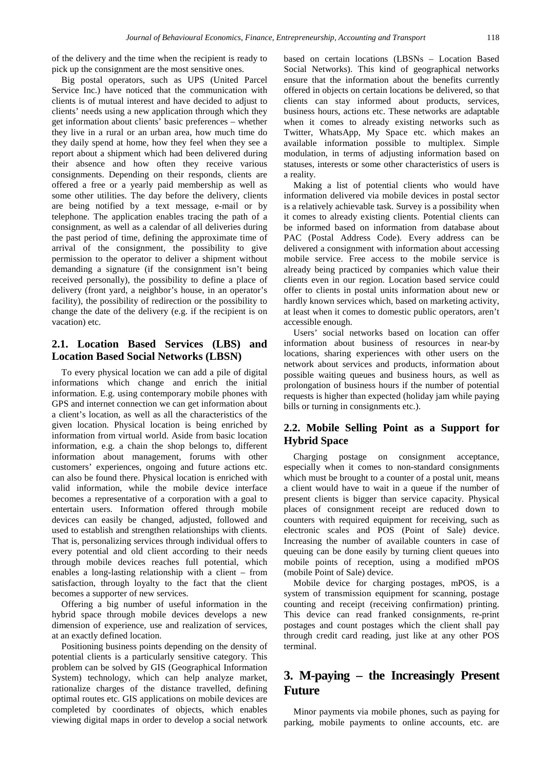of the delivery and the time when the recipient is ready to pick up the consignment are the most sensitive ones.

Big postal operators, such as UPS (United Parcel Service Inc.) have noticed that the communication with clients is of mutual interest and have decided to adjust to clients' needs using a new application through which they get information about clients' basic preferences – whether they live in a rural or an urban area, how much time do they daily spend at home, how they feel when they see a report about a shipment which had been delivered during their absence and how often they receive various consignments. Depending on their responds, clients are offered a free or a yearly paid membership as well as some other utilities. The day before the delivery, clients are being notified by a text message, e-mail or by telephone. The application enables tracing the path of a consignment, as well as a calendar of all deliveries during the past period of time, defining the approximate time of arrival of the consignment, the possibility to give permission to the operator to deliver a shipment without demanding a signature (if the consignment isn't being received personally), the possibility to define a place of delivery (front yard, a neighbor's house, in an operator's facility), the possibility of redirection or the possibility to change the date of the delivery (e.g. if the recipient is on vacation) etc.

## **2.1. Location Based Services (LBS) and Location Based Social Networks (LBSN)**

To every physical location we can add a pile of digital informations which change and enrich the initial information. E.g. using contemporary mobile phones with GPS and internet connection we can get information about a client's location, as well as all the characteristics of the given location. Physical location is being enriched by information from virtual world. Aside from basic location information, e.g. a chain the shop belongs to, different information about management, forums with other customers' experiences, ongoing and future actions etc. can also be found there. Physical location is enriched with valid information, while the mobile device interface becomes a representative of a corporation with a goal to entertain users. Information offered through mobile devices can easily be changed, adjusted, followed and used to establish and strengthen relationships with clients. That is, personalizing services through individual offers to every potential and old client according to their needs through mobile devices reaches full potential, which enables a long-lasting relationship with a client – from satisfaction, through loyalty to the fact that the client becomes a supporter of new services.

Offering a big number of useful information in the hybrid space through mobile devices develops a new dimension of experience, use and realization of services, at an exactly defined location.

Positioning business points depending on the density of potential clients is a particularly sensitive category. This problem can be solved by GIS (Geographical Information System) technology, which can help analyze market, rationalize charges of the distance travelled, defining optimal routes etc. GIS applications on mobile devices are completed by coordinates of objects, which enables viewing digital maps in order to develop a social network

based on certain locations (LBSNs – Location Based Social Networks). This kind of geographical networks ensure that the information about the benefits currently offered in objects on certain locations be delivered, so that clients can stay informed about products, services, business hours, actions etc. These networks are adaptable when it comes to already existing networks such as Twitter, WhatsApp, My Space etc. which makes an available information possible to multiplex. Simple modulation, in terms of adjusting information based on statuses, interests or some other characteristics of users is a reality.

Making a list of potential clients who would have information delivered via mobile devices in postal sector is a relatively achievable task. Survey is a possibility when it comes to already existing clients. Potential clients can be informed based on information from database about PAC (Postal Address Code). Every address can be delivered a consignment with information about accessing mobile service. Free access to the mobile service is already being practiced by companies which value their clients even in our region. Location based service could offer to clients in postal units information about new or hardly known services which, based on marketing activity, at least when it comes to domestic public operators, aren't accessible enough.

Users' social networks based on location can offer information about business of resources in near-by locations, sharing experiences with other users on the network about services and products, information about possible waiting queues and business hours, as well as prolongation of business hours if the number of potential requests is higher than expected (holiday jam while paying bills or turning in consignments etc.).

## **2.2. Mobile Selling Point as a Support for Hybrid Space**

Charging postage on consignment acceptance, especially when it comes to non-standard consignments which must be brought to a counter of a postal unit, means a client would have to wait in a queue if the number of present clients is bigger than service capacity. Physical places of consignment receipt are reduced down to counters with required equipment for receiving, such as electronic scales and POS (Point of Sale) device. Increasing the number of available counters in case of queuing can be done easily by turning client queues into mobile points of reception, using a modified mPOS (mobile Point of Sale) device.

Mobile device for charging postages, mPOS, is a system of transmission equipment for scanning, postage counting and receipt (receiving confirmation) printing. This device can read franked consignments, re-print postages and count postages which the client shall pay through credit card reading, just like at any other POS terminal.

## **3. M-paying – the Increasingly Present Future**

Minor payments via mobile phones, such as paying for parking, mobile payments to online accounts, etc. are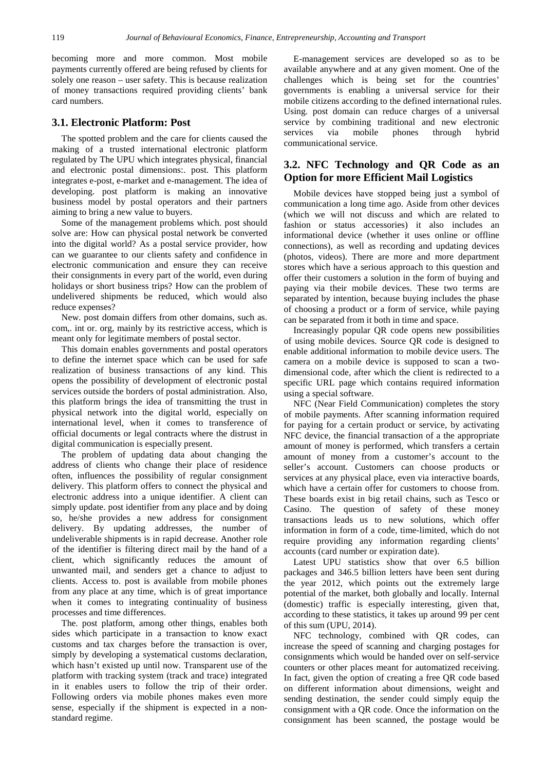becoming more and more common. Most mobile payments currently offered are being refused by clients for solely one reason – user safety. This is because realization of money transactions required providing clients' bank card numbers.

#### **3.1. Electronic Platform: Post**

The spotted problem and the care for clients caused the making of a trusted international electronic platform regulated by The UPU which integrates physical, financial and electronic postal dimensions:. post. This platform integrates e-post, e-market and e-management. The idea of developing. post platform is making an innovative business model by postal operators and their partners aiming to bring a new value to buyers.

Some of the management problems which. post should solve are: How can physical postal network be converted into the digital world? As a postal service provider, how can we guarantee to our clients safety and confidence in electronic communication and ensure they can receive their consignments in every part of the world, even during holidays or short business trips? How can the problem of undelivered shipments be reduced, which would also reduce expenses?

New. post domain differs from other domains, such as. com,. int or. org, mainly by its restrictive access, which is meant only for legitimate members of postal sector.

This domain enables governments and postal operators to define the internet space which can be used for safe realization of business transactions of any kind. This opens the possibility of development of electronic postal services outside the borders of postal administration. Also, this platform brings the idea of transmitting the trust in physical network into the digital world, especially on international level, when it comes to transference of official documents or legal contracts where the distrust in digital communication is especially present.

The problem of updating data about changing the address of clients who change their place of residence often, influences the possibility of regular consignment delivery. This platform offers to connect the physical and electronic address into a unique identifier. A client can simply update. post identifier from any place and by doing so, he/she provides a new address for consignment delivery. By updating addresses, the number of undeliverable shipments is in rapid decrease. Another role of the identifier is filtering direct mail by the hand of a client, which significantly reduces the amount of unwanted mail, and senders get a chance to adjust to clients. Access to. post is available from mobile phones from any place at any time, which is of great importance when it comes to integrating continuality of business processes and time differences.

The. post platform, among other things, enables both sides which participate in a transaction to know exact customs and tax charges before the transaction is over, simply by developing a systematical customs declaration, which hasn't existed up until now. Transparent use of the platform with tracking system (track and trace) integrated in it enables users to follow the trip of their order. Following orders via mobile phones makes even more sense, especially if the shipment is expected in a nonstandard regime.

E-management services are developed so as to be available anywhere and at any given moment. One of the challenges which is being set for the countries' governments is enabling a universal service for their mobile citizens according to the defined international rules. Using. post domain can reduce charges of a universal service by combining traditional and new electronic services via mobile phones through hybrid communicational service.

## **3.2. NFC Technology and QR Code as an Option for more Efficient Mail Logistics**

Mobile devices have stopped being just a symbol of communication a long time ago. Aside from other devices (which we will not discuss and which are related to fashion or status accessories) it also includes an informational device (whether it uses online or offline connections), as well as recording and updating devices (photos, videos). There are more and more department stores which have a serious approach to this question and offer their customers a solution in the form of buying and paying via their mobile devices. These two terms are separated by intention, because buying includes the phase of choosing a product or a form of service, while paying can be separated from it both in time and space.

Increasingly popular QR code opens new possibilities of using mobile devices. Source QR code is designed to enable additional information to mobile device users. The camera on a mobile device is supposed to scan a twodimensional code, after which the client is redirected to a specific URL page which contains required information using a special software.

NFC (Near Field Communication) completes the story of mobile payments. After scanning information required for paying for a certain product or service, by activating NFC device, the financial transaction of a the appropriate amount of money is performed, which transfers a certain amount of money from a customer's account to the seller's account. Customers can choose products or services at any physical place, even via interactive boards, which have a certain offer for customers to choose from. These boards exist in big retail chains, such as Tesco or Casino. The question of safety of these money transactions leads us to new solutions, which offer information in form of a code, time-limited, which do not require providing any information regarding clients' accounts (card number or expiration date).

Latest UPU statistics show that over 6.5 billion packages and 346.5 billion letters have been sent during the year 2012, which points out the extremely large potential of the market, both globally and locally. Internal (domestic) traffic is especially interesting, given that, according to these statistics, it takes up around 99 per cent of this sum (UPU, 2014).

NFC technology, combined with QR codes, can increase the speed of scanning and charging postages for consignments which would be handed over on self-service counters or other places meant for automatized receiving. In fact, given the option of creating a free QR code based on different information about dimensions, weight and sending destination, the sender could simply equip the consignment with a QR code. Once the information on the consignment has been scanned, the postage would be